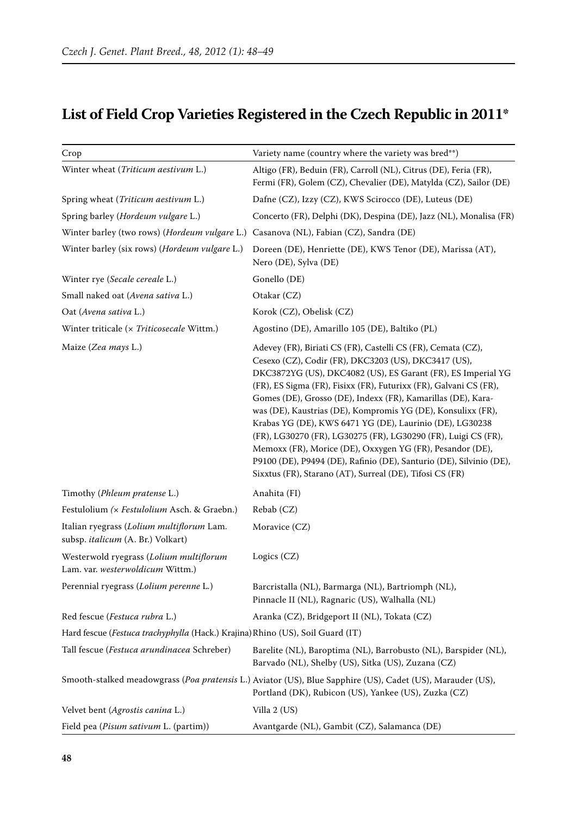## **List of Field Crop Varieties Registered in the Czech Republic in 2011\***

| Crop                                                                                  | Variety name (country where the variety was bred**)                                                                                                                                                                                                                                                                                                                                                                                                                                                                                                                                                                                                                                                                     |
|---------------------------------------------------------------------------------------|-------------------------------------------------------------------------------------------------------------------------------------------------------------------------------------------------------------------------------------------------------------------------------------------------------------------------------------------------------------------------------------------------------------------------------------------------------------------------------------------------------------------------------------------------------------------------------------------------------------------------------------------------------------------------------------------------------------------------|
| Winter wheat (Triticum aestivum L.)                                                   | Altigo (FR), Beduin (FR), Carroll (NL), Citrus (DE), Feria (FR),<br>Fermi (FR), Golem (CZ), Chevalier (DE), Matylda (CZ), Sailor (DE)                                                                                                                                                                                                                                                                                                                                                                                                                                                                                                                                                                                   |
| Spring wheat (Triticum aestivum L.)                                                   | Dafne (CZ), Izzy (CZ), KWS Scirocco (DE), Luteus (DE)                                                                                                                                                                                                                                                                                                                                                                                                                                                                                                                                                                                                                                                                   |
| Spring barley (Hordeum vulgare L.)                                                    | Concerto (FR), Delphi (DK), Despina (DE), Jazz (NL), Monalisa (FR)                                                                                                                                                                                                                                                                                                                                                                                                                                                                                                                                                                                                                                                      |
| Winter barley (two rows) (Hordeum vulgare L.) Casanova (NL), Fabian (CZ), Sandra (DE) |                                                                                                                                                                                                                                                                                                                                                                                                                                                                                                                                                                                                                                                                                                                         |
| Winter barley (six rows) (Hordeum vulgare L.)                                         | Doreen (DE), Henriette (DE), KWS Tenor (DE), Marissa (AT),<br>Nero (DE), Sylva (DE)                                                                                                                                                                                                                                                                                                                                                                                                                                                                                                                                                                                                                                     |
| Winter rye (Secale cereale L.)                                                        | Gonello (DE)                                                                                                                                                                                                                                                                                                                                                                                                                                                                                                                                                                                                                                                                                                            |
| Small naked oat (Avena sativa L.)                                                     | Otakar (CZ)                                                                                                                                                                                                                                                                                                                                                                                                                                                                                                                                                                                                                                                                                                             |
| Oat (Avena sativa L.)                                                                 | Korok (CZ), Obelisk (CZ)                                                                                                                                                                                                                                                                                                                                                                                                                                                                                                                                                                                                                                                                                                |
| Winter triticale (x Triticosecale Wittm.)                                             | Agostino (DE), Amarillo 105 (DE), Baltiko (PL)                                                                                                                                                                                                                                                                                                                                                                                                                                                                                                                                                                                                                                                                          |
| Maize (Zea mays L.)                                                                   | Adevey (FR), Biriati CS (FR), Castelli CS (FR), Cemata (CZ),<br>Cesexo (CZ), Codir (FR), DKC3203 (US), DKC3417 (US),<br>DKC3872YG (US), DKC4082 (US), ES Garant (FR), ES Imperial YG<br>(FR), ES Sigma (FR), Fisixx (FR), Futurixx (FR), Galvani CS (FR),<br>Gomes (DE), Grosso (DE), Indexx (FR), Kamarillas (DE), Kara-<br>was (DE), Kaustrias (DE), Kompromis YG (DE), Konsulixx (FR),<br>Krabas YG (DE), KWS 6471 YG (DE), Laurinio (DE), LG30238<br>(FR), LG30270 (FR), LG30275 (FR), LG30290 (FR), Luigi CS (FR),<br>Memoxx (FR), Morice (DE), Oxxygen YG (FR), Pesandor (DE),<br>P9100 (DE), P9494 (DE), Rafinio (DE), Santurio (DE), Silvinio (DE),<br>Sixxtus (FR), Starano (AT), Surreal (DE), Tifosi CS (FR) |
| Timothy (Phleum pratense L.)                                                          | Anahita (FI)                                                                                                                                                                                                                                                                                                                                                                                                                                                                                                                                                                                                                                                                                                            |
| Festulolium (x Festulolium Asch. & Graebn.)                                           | Rebab (CZ)                                                                                                                                                                                                                                                                                                                                                                                                                                                                                                                                                                                                                                                                                                              |
| Italian ryegrass (Lolium multiflorum Lam.<br>subsp. italicum (A. Br.) Volkart)        | Moravice (CZ)                                                                                                                                                                                                                                                                                                                                                                                                                                                                                                                                                                                                                                                                                                           |
| Westerwold ryegrass (Lolium multiflorum<br>Lam. var. westerwoldicum Wittm.)           | Logics (CZ)                                                                                                                                                                                                                                                                                                                                                                                                                                                                                                                                                                                                                                                                                                             |
| Perennial ryegrass (Lolium perenne L.)                                                | Barcristalla (NL), Barmarga (NL), Bartriomph (NL),<br>Pinnacle II (NL), Ragnaric (US), Walhalla (NL)                                                                                                                                                                                                                                                                                                                                                                                                                                                                                                                                                                                                                    |
| Red fescue (Festuca rubra L.)                                                         | Aranka (CZ), Bridgeport II (NL), Tokata (CZ)                                                                                                                                                                                                                                                                                                                                                                                                                                                                                                                                                                                                                                                                            |
| Hard fescue (Festuca trachyphylla (Hack.) Krajina) Rhino (US), Soil Guard (IT)        |                                                                                                                                                                                                                                                                                                                                                                                                                                                                                                                                                                                                                                                                                                                         |
| Tall fescue (Festuca arundinacea Schreber)                                            | Barelite (NL), Baroptima (NL), Barrobusto (NL), Barspider (NL),<br>Barvado (NL), Shelby (US), Sitka (US), Zuzana (CZ)                                                                                                                                                                                                                                                                                                                                                                                                                                                                                                                                                                                                   |
|                                                                                       | Smooth-stalked meadowgrass (Poa pratensis L.) Aviator (US), Blue Sapphire (US), Cadet (US), Marauder (US),<br>Portland (DK), Rubicon (US), Yankee (US), Zuzka (CZ)                                                                                                                                                                                                                                                                                                                                                                                                                                                                                                                                                      |
| Velvet bent (Agrostis canina L.)                                                      | Villa 2 (US)                                                                                                                                                                                                                                                                                                                                                                                                                                                                                                                                                                                                                                                                                                            |
| Field pea (Pisum sativum L. (partim))                                                 | Avantgarde (NL), Gambit (CZ), Salamanca (DE)                                                                                                                                                                                                                                                                                                                                                                                                                                                                                                                                                                                                                                                                            |